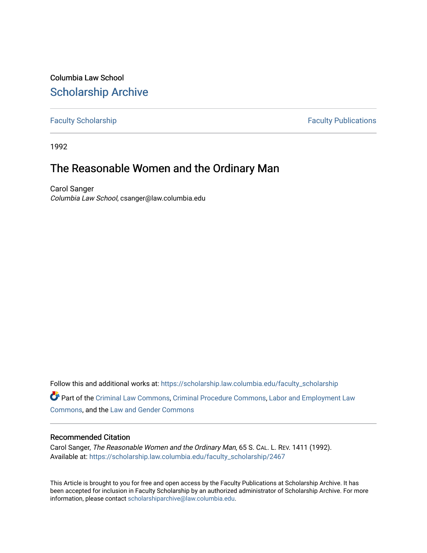Columbia Law School [Scholarship Archive](https://scholarship.law.columbia.edu/) 

[Faculty Scholarship](https://scholarship.law.columbia.edu/faculty_scholarship) **Faculty Scholarship Faculty Publications** 

1992

## The Reasonable Women and the Ordinary Man

Carol Sanger Columbia Law School, csanger@law.columbia.edu

Follow this and additional works at: [https://scholarship.law.columbia.edu/faculty\\_scholarship](https://scholarship.law.columbia.edu/faculty_scholarship?utm_source=scholarship.law.columbia.edu%2Ffaculty_scholarship%2F2467&utm_medium=PDF&utm_campaign=PDFCoverPages)

Part of the [Criminal Law Commons,](http://network.bepress.com/hgg/discipline/912?utm_source=scholarship.law.columbia.edu%2Ffaculty_scholarship%2F2467&utm_medium=PDF&utm_campaign=PDFCoverPages) [Criminal Procedure Commons,](http://network.bepress.com/hgg/discipline/1073?utm_source=scholarship.law.columbia.edu%2Ffaculty_scholarship%2F2467&utm_medium=PDF&utm_campaign=PDFCoverPages) [Labor and Employment Law](http://network.bepress.com/hgg/discipline/909?utm_source=scholarship.law.columbia.edu%2Ffaculty_scholarship%2F2467&utm_medium=PDF&utm_campaign=PDFCoverPages)  [Commons](http://network.bepress.com/hgg/discipline/909?utm_source=scholarship.law.columbia.edu%2Ffaculty_scholarship%2F2467&utm_medium=PDF&utm_campaign=PDFCoverPages), and the [Law and Gender Commons](http://network.bepress.com/hgg/discipline/1298?utm_source=scholarship.law.columbia.edu%2Ffaculty_scholarship%2F2467&utm_medium=PDF&utm_campaign=PDFCoverPages) 

## Recommended Citation

Carol Sanger, The Reasonable Women and the Ordinary Man, 65 S. CAL. L. REV. 1411 (1992). Available at: [https://scholarship.law.columbia.edu/faculty\\_scholarship/2467](https://scholarship.law.columbia.edu/faculty_scholarship/2467?utm_source=scholarship.law.columbia.edu%2Ffaculty_scholarship%2F2467&utm_medium=PDF&utm_campaign=PDFCoverPages)

This Article is brought to you for free and open access by the Faculty Publications at Scholarship Archive. It has been accepted for inclusion in Faculty Scholarship by an authorized administrator of Scholarship Archive. For more information, please contact [scholarshiparchive@law.columbia.edu.](mailto:scholarshiparchive@law.columbia.edu)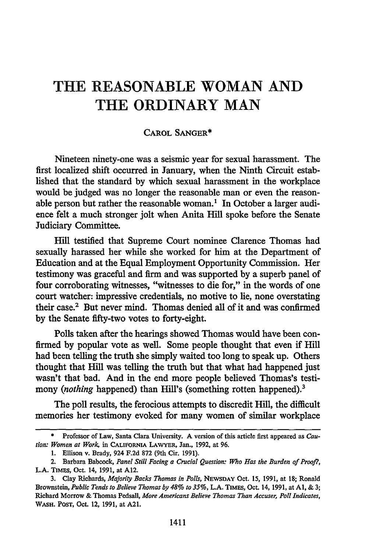## **THE REASONABLE WOMAN AND THE ORDINARY MAN**

## CAROL **SANGER\***

Nineteen ninety-one was a seismic year for sexual harassment. The first localized shift occurred in January, when the Ninth Circuit established that the standard **by** which sexual harassment in the workplace would be judged was no longer the reasonable man or even the reasonable person but rather the reasonable woman.' In October a larger audience felt a much stronger jolt when Anita Hill spoke before the Senate Judiciary Committee.

Hill testified that Supreme Court nominee Clarence Thomas had sexually harassed her while she worked for him at the Department of Education and at the Equal Employment Opportunity Commission. Her testimony was graceful and firm and was supported **by** a superb panel of four corroborating witnesses, "witnesses to die for," in the words of one court watcher: impressive credentials, no motive to lie, none overstating their case.2 But never mind. Thomas denied all of it and was confirmed **by** the Senate fifty-two votes to forty-eight.

Polls taken after the hearings showed Thomas would have been confirmed **by** popular vote as well. Some people thought that even if Hill had been telling the truth she simply waited too long to speak up. Others thought that Hill was telling the truth but that what had happened just wasn't that bad. And in the end more people believed Thomas's testimony *(nothing* happened) than Hill's (something rotten happened).<sup>3</sup>

The poll results, the ferocious attempts to discredit Hill, the difficult memories her testimony evoked for many women of similar workplace

**<sup>\*</sup>** Professor of Law, Santa Clara University. **A** version of this article first appeared as *Caution: Women at Work,* in **CALIFORNIA LAWYER,** Jan., 1992, at 96.

<sup>1.</sup> Ellison v. Brady, 924 F.2d 872 (9th Cir. 1991).

<sup>2.</sup> Barbara Babcock, *Panel Still Facing a Crucial Question: Who Has the Burden of Proo/?,* L.A. TIMES, Oct. 14, 1991, at A12.

<sup>3.</sup> Clay Richards, *Majority Backs Thomas in Polls,* NEWSDAY Oct. 15, 1991, at 18; Ronald Brownstein, *Public Tends to Believe Thomas by 48% to 35%,* L.A. **TIMES,** Oct. 14, 1991, at **Al,** & **3;** Richard Morrow & Thomas Pedsall, *More Americans Believe Thomas Than Accuser, Poll Indicates,* WASH. **POST,** Oct. 12, 1991, at A21.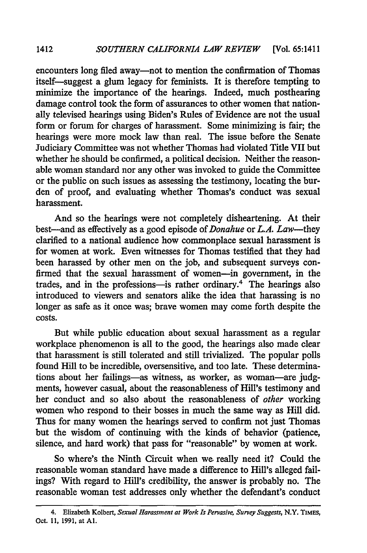encounters long filed away—not to mention the confirmation of Thomas itself-suggest a glum legacy for feminists. It is therefore tempting to minimize the importance of the hearings. Indeed, much posthearing damage control took the form of assurances to other women that nationally televised hearings using Biden's Rules of Evidence are not the usual form or forum for charges of harassment. Some minimizing is fair; the hearings were more mock law than real. The issue before the Senate Judiciary Committee was not whether Thomas had violated Title VII but whether he should be confirmed, a political decision. Neither the reasonable woman standard nor any other was invoked to guide the Committee or the public on such issues as assessing the testimony, locating the burden of proof, and evaluating whether Thomas's conduct was sexual harassment.

And so the hearings were not completely disheartening. At their best-and as effectively as a good episode *of Donahue* or *L.A. Law-they* clarified to a national audience how commonplace sexual harassment is for women at work. Even witnesses for Thomas testified that they had been harassed by other men on the job, and subsequent surveys confirmed that the sexual harassment of women-in government, in the trades, and in the professions-is rather ordinary.<sup>4</sup> The hearings also introduced to viewers and senators alike the idea that harassing is no longer as safe as it once was; brave women may come forth despite the costs.

But while public education about sexual harassment as a regular workplace phenomenon is all to the good, the hearings also made clear that harassment is still tolerated and still trivialized. The popular polls found Hill to be incredible, oversensitive, and too late. These determinations about her failings-as witness, as worker, as woman-are judgments, however casual, about the reasonableness of Hill's testimony and her conduct and so also about the reasonableness of *other* working women who respond to their bosses in much the same way as Hill did. Thus for many women the hearings served to confirm not just Thomas but the wisdom of continuing with the kinds of behavior (patience, silence, and hard work) that pass for "reasonable" by women at work.

So where's the Ninth Circuit when we. really need it? Could the reasonable woman standard have made a difference to Hill's alleged failings? With regard to Hill's credibility, the answer is probably no. The reasonable woman test addresses only whether the defendant's conduct

1412

<sup>4.</sup> Elizabeth Kolbert, *Sexual Harassment at Work Is Pervasive, Survey Suggests,* N.Y. TIMES, Oct. **11, 1991.** at **Al.**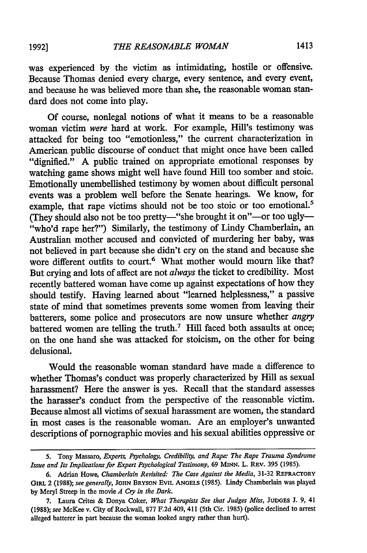was experienced by the victim as intimidating, hostile or offensive. Because Thomas denied every charge, every sentence, and every event, and because he was believed more than she, the reasonable woman standard does not come into play.

Of course, nonlegal notions of what it means to be a reasonable woman victim were hard at work. For example, Hill's testimony was attacked for being too "emotionless," the current characterization in American public discourse of conduct that might once have been called "dignified." A public trained on appropriate emotional responses by watching game shows might well have found Hill too somber and stoic. Emotionally unembellished testimony by women about difficult personal events was a problem well before the Senate hearings. We know, for example, that rape victims should not be too stoic or too emotional.5 (They should also not be too pretty-"she brought it on"-or too ugly-"who'd rape her?") Similarly, the testimony of Lindy Chamberlain, an Australian mother accused and convicted of murdering her baby, was not believed in part because she didn't cry on the stand and because she wore different outfits to court.<sup>6</sup> What mother would mourn like that? But crying and lots of affect are not *always* the ticket to credibility. Most recently battered woman have come up against expectations of how they should testify. Having learned about "learned helplessness," a passive state of mind that sometimes prevents some women from leaving their batterers, some police and prosecutors are now unsure whether *angry* battered women are telling the truth.<sup>7</sup> Hill faced both assaults at once; on the one hand she was attacked for stoicism, on the other for being delusional.

Would the reasonable woman standard have made a difference to whether Thomas's conduct was properly characterized by Hill as sexual harassment? Here the answer is yes. Recall that the standard assesses the harasser's conduct from the perspective of the reasonable victim. Because almost all victims of sexual harassment are women, the standard in most cases is the reasonable woman. Are an employer's unwanted descriptions of pornographic movies and his sexual abilities oppressive or

<sup>5.</sup> Tony Massaro, *Experts. Psychology, Credibility, and Rape: The Rape Trauma Syndrome Issue and Its Implications for Expert Psychological Testimony,* 69 **MINN.** L. REv. 395 (1985).

**<sup>6.</sup>** Adrian Howe, *Chamberlain Revisited: The Case Against the Media,* 31-32 **REFRACTORY GIRL** 2 (1988); *see generally,* **JOHN** BRYSON EVIL **ANGELS** (1985). Lindy Chamberlain was played **by** Meryl Streep in the movie *A Cry in the Dark.*

**<sup>7.</sup>** Laura Crites **&** Donya Coker, *What Therapists See that Judges Miss,* **JUDGES J. 9,** 41 (1988); *see* McKee v. City of Rockwall, **877 F.2d** 409, 411 (5th Cir. **1985)** (police declined to arrest alleged batterer in part because the woman looked angry rather than hurt).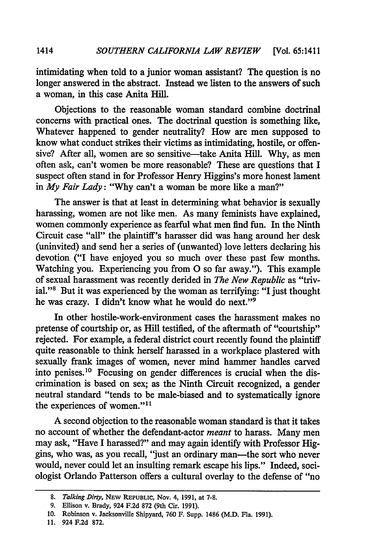intimidating when told to a junior woman assistant? The question is no longer answered in the abstract. Instead we listen to the answers of such a woman, in this case Anita Hill.

Objections to the reasonable woman standard combine doctrinal concerns with practical ones. The doctrinal question is something like, Whatever happened to gender neutrality? How are men supposed to know what conduct strikes their victims as intimidating, hostile, or offensive? After all, women are so sensitive—take Anita Hill. Why, as men often ask, can't women be more reasonable? These are questions that I suspect often stand in for Professor Henry Higgins's more honest lament in *My Fair Lady:* "Why can't a woman be more like a man?"

The answer is that at least in determining what behavior is sexually harassing, women are not like men. As many feminists have explained, women commonly experience as fearful what men find fun. In the Ninth Circuit case "all" the plaintiff's harasser did was hang around her desk (uninvited) and send her a series of (unwanted) love letters declaring his devotion ("I have enjoyed you so much over these past few months. Watching you. Experiencing you from **0** so far away."). This example of sexual harassment was recently derided in *The New Republic* as "trivial."8 But it was experienced by the woman as terrifying: "I just thought he was crazy. I didn't know what he would do next."<sup>9</sup>

In other hostile-work-environment cases the harassment makes no pretense of courtship or, as Hill testified, of the aftermath of "courtship" rejected. For example, a federal district court recently found the plaintiff quite reasonable to think herself harassed in a workplace plastered with sexually frank images of women, never mind hammer handles carved into penises. 10 Focusing on gender differences is crucial when the discrimination is based on sex; as the Ninth Circuit recognized, a gender neutral standard "tends to be male-biased and to systematically ignore the experiences of women."<sup>11</sup>

A second objection to the reasonable woman standard is that it takes no account of whether the defendant-actor *meant* to harass. Many men may ask, "Have I harassed?" and may again identify with Professor Higgins, who was, as you recall, "just an ordinary man-the sort who never would, never could let an insulting remark escape his lips." Indeed, sociologist Orlando Patterson offers a cultural overlay to the defense of "no

1414

*<sup>8.</sup> Talking Dirty,* **NEw** REPUBLIC, **Nov. 4, 1991, at 7-8.**

**<sup>9.</sup>** Ellison v. Brady, 924 **F.2d 872** (9th Cir. **1991).**

**<sup>10.</sup>** Robinson v. Jacksonville Shipyard, **760** F. Supp. 1486 (M.D. Fla. **1991).**

**<sup>11.</sup>** 924 **F.2d 872.**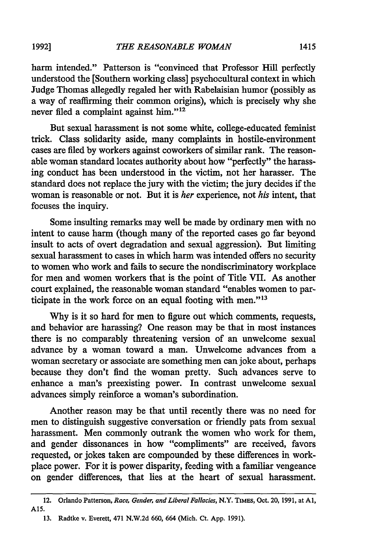harm intended." Patterson is "convinced that Professor Hill perfectly understood the [Southern working class] psychocultural context in which Judge Thomas allegedly regaled her with Rabelaisian humor (possibly as a way of reaffirming their common origins), which is precisely why she never filed a complaint against him."<sup>12</sup>

But sexual harassment is not some white, college-educated feminist trick. Class solidarity aside, many complaints in hostile-environment cases are fied by workers against coworkers of similar rank. The reasonable woman standard locates authority about how "perfectly" the harassing conduct has been understood in the victim, not her harasser. The standard does not replace the jury with the victim; the jury decides if the woman is reasonable or not. But it is *her* experience, not *his* intent, that focuses the inquiry.

Some insulting remarks may well be made by ordinary men with no intent to cause harm (though many of the reported cases go far beyond insult to acts of overt degradation and sexual aggression). But limiting sexual harassment to cases in which harm was intended offers no security to women who work and fails to secure the nondiscriminatory workplace for men and women workers that is the point of Title VII. As another court explained, the reasonable woman standard "enables women to participate in the work force on an equal footing with men."<sup>13</sup>

Why is it so hard for men to figure out which comments, requests, and behavior are harassing? One reason may be that in most instances there is no comparably threatening version of an unwelcome sexual advance by a woman toward a man. Unwelcome advances from a woman secretary or associate are something men can joke about, perhaps because they don't find the woman pretty. Such advances serve to enhance a man's preexisting power. In contrast unwelcome sexual advances simply reinforce a woman's subordination.

Another reason may be that until recently there was no need for men to distinguish suggestive conversation or friendly pats from sexual harassment. Men commonly outrank the women who work for them, and gender dissonances in how "compliments" are received, favors requested, or jokes taken are compounded by these differences in workplace power. For it is power disparity, feeding with a familiar vengeance on gender differences, that lies at the heart of sexual harassment.

<sup>12.</sup> Orlando Patterson, *Race, Gender, and Liberal Fallacies,* N.Y. TIMEs, Oct. 20, **1991,** at **Al, AIS.**

**<sup>13.</sup>** Radtke v. Everett, 471 **N.W.2d 660,** 664 (Mich. Ct. **App. 1991).**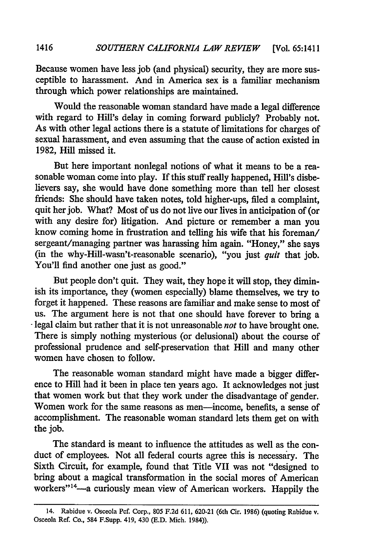Because women have less job (and physical) security, they are more susceptible to harassment. And in America sex is a familiar mechanism through which power relationships are maintained.

Would the reasonable woman standard have made a legal difference with regard to Hill's delay in coming forward publicly? Probably not. As with other legal actions there is a statute of limitations for charges of sexual harassment, and even assuming that the cause of action existed in 1982, Hill missed it.

But here important nonlegal notions of what it means to be a reasonable woman come into play. If this stuff really happened, Hill's disbelievers say, she would have done something more than tell her closest friends: She should have taken notes, told higher-ups, filed a complaint, quit her job. What? Most of us do not live our lives in anticipation of (or with any desire for) litigation. And picture or remember a man you know coming home in frustration and telling his wife that his foreman/ sergeant/managing partner was harassing him again. "Honey," she says (in the why-Hill-wasn't-reasonable scenario), "you just *quit* that job. You'll find another one just as good."

But people don't quit. They wait, they hope it will stop, they diminish its importance, they (women especially) blame themselves, we try to forget it happened. These reasons are familiar and make sense to most of us. The argument here is not that one should have forever to bring a legal claim but rather that it is not unreasonable *not* to have brought one. There is simply nothing mysterious (or delusional) about the course of professional prudence and self-preservation that Hill and many other women have chosen to follow.

The reasonable woman standard might have made a bigger difference to Hill had it been in place ten years ago. It acknowledges not just that women work but that they work under the disadvantage of gender. Women work for the same reasons as men-income, benefits, a sense of accomplishment. The reasonable woman standard lets them get on with the job.

The standard is meant to influence the attitudes as well as the conduct of employees. Not all federal courts agree this is necessary. The Sixth Circuit, for example, found that Title VII was not "designed to bring about a magical transformation in the social mores of American workers"<sup>14</sup>—a curiously mean view of American workers. Happily the

<sup>14.</sup> Rabidue v. Osceola **Pcf.** Corp., **805 F.2d 611, 620-21** (6th Cir. **1986)** (quoting Rabidue v. Osceola Ref. Co., 584 F.Supp. 419, 430 **(E.D.** Mich. 1984)).